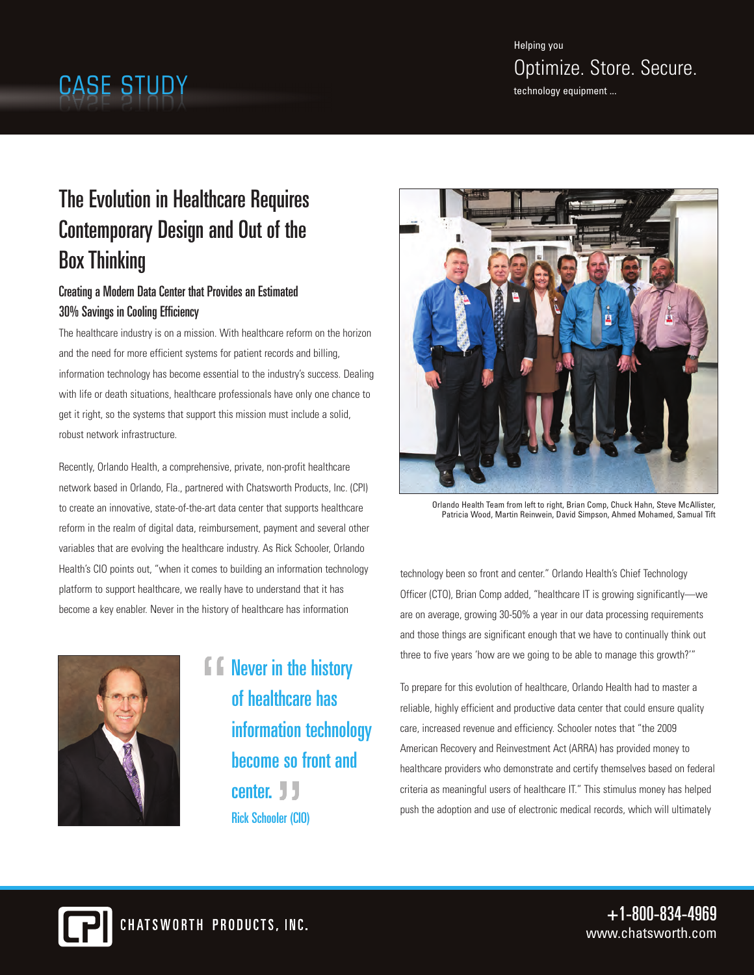# Helping you Optimize. Store. Secure.<br>CASE STUDY technology equipment ...

# The Evolution in Healthcare Requires Contemporary Design and Out of the Box Thinking

### Creating a Modern Data Center that Provides an Estimated 30% Savings in Cooling Efficiency

The healthcare industry is on a mission. With healthcare reform on the horizon and the need for more efficient systems for patient records and billing, information technology has become essential to the industry's success. Dealing with life or death situations, healthcare professionals have only one chance to get it right, so the systems that support this mission must include a solid, robust network infrastructure.

Recently, Orlando Health, a comprehensive, private, non-profit healthcare network based in Orlando, Fla., partnered with Chatsworth Products, Inc. (CPI) to create an innovative, state-of-the-art data center that supports healthcare reform in the realm of digital data, reimbursement, payment and several other variables that are evolving the healthcare industry. As Rick Schooler, Orlando Health's CIO points out, "when it comes to building an information technology platform to support healthcare, we really have to understand that it has become a key enabler. Never in the history of healthcare has information



**f f** Never in the history of healthcare has information technology become so front and center. **J** J Rick Schooler (CIO)



Orlando Health Team from left to right, Brian Comp, Chuck Hahn, Steve McAllister, Patricia Wood, Martin Reinwein, David Simpson, Ahmed Mohamed, Samual Tift

technology been so front and center." Orlando Health's Chief Technology Officer (CTO), Brian Comp added, "healthcare IT is growing significantly—we are on average, growing 30-50% a year in our data processing requirements and those things are significant enough that we have to continually think out three to five years 'how are we going to be able to manage this growth?'"

To prepare for this evolution of healthcare, Orlando Health had to master a reliable, highly efficient and productive data center that could ensure quality care, increased revenue and efficiency. Schooler notes that "the 2009 American Recovery and Reinvestment Act (ARRA) has provided money to healthcare providers who demonstrate and certify themselves based on federal criteria as meaningful users of healthcare IT." This stimulus money has helped push the adoption and use of electronic medical records, which will ultimately

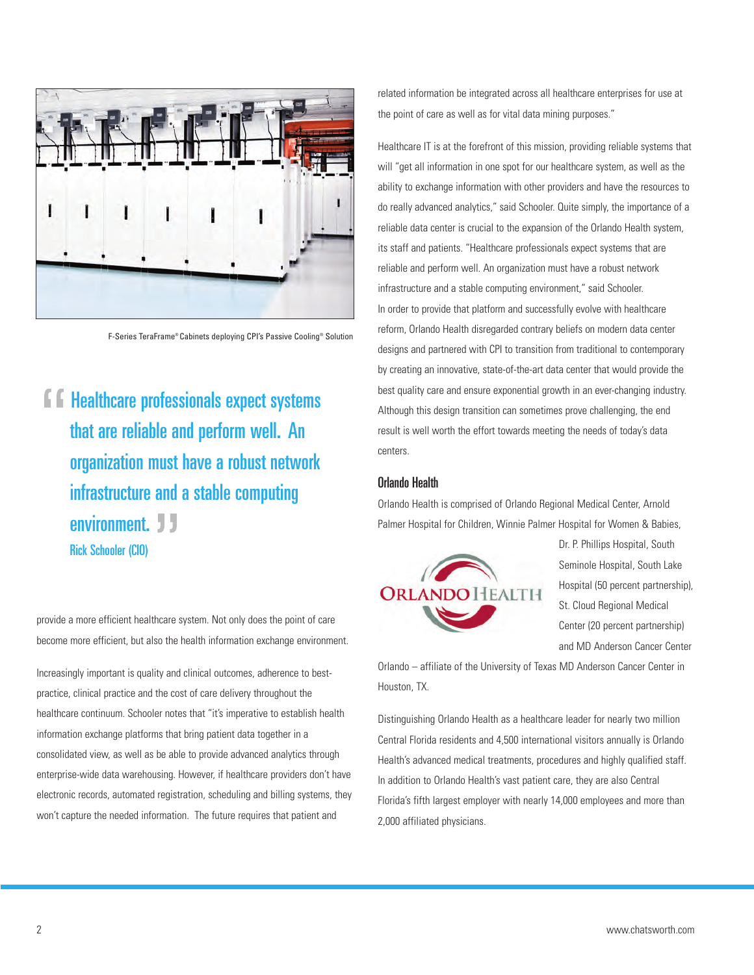

F-Series TeraFrame® Cabinets deploying CPI's Passive Cooling® Solution

**Healthcare professionals expect systems** that are reliable and perform well. An organization must have a robust network infrastructure and a stable computing environment. JJ Rick Schooler (CIO)

provide a more efficient healthcare system. Not only does the point of care become more efficient, but also the health information exchange environment.

Increasingly important is quality and clinical outcomes, adherence to bestpractice, clinical practice and the cost of care delivery throughout the healthcare continuum. Schooler notes that "it's imperative to establish health information exchange platforms that bring patient data together in a consolidated view, as well as be able to provide advanced analytics through enterprise-wide data warehousing. However, if healthcare providers don't have electronic records, automated registration, scheduling and billing systems, they won't capture the needed information. The future requires that patient and

related information be integrated across all healthcare enterprises for use at the point of care as well as for vital data mining purposes."

Healthcare IT is at the forefront of this mission, providing reliable systems that will "get all information in one spot for our healthcare system, as well as the ability to exchange information with other providers and have the resources to do really advanced analytics," said Schooler. Quite simply, the importance of a reliable data center is crucial to the expansion of the Orlando Health system, its staff and patients. "Healthcare professionals expect systems that are reliable and perform well. An organization must have a robust network infrastructure and a stable computing environment," said Schooler. In order to provide that platform and successfully evolve with healthcare reform, Orlando Health disregarded contrary beliefs on modern data center designs and partnered with CPI to transition from traditional to contemporary by creating an innovative, state-of-the-art data center that would provide the best quality care and ensure exponential growth in an ever-changing industry. Although this design transition can sometimes prove challenging, the end result is well worth the effort towards meeting the needs of today's data centers.

#### Orlando Health

Orlando Health is comprised of Orlando Regional Medical Center, Arnold Palmer Hospital for Children, Winnie Palmer Hospital for Women & Babies,



Dr. P. Phillips Hospital, South Seminole Hospital, South Lake Hospital (50 percent partnership), St. Cloud Regional Medical Center (20 percent partnership) and MD Anderson Cancer Center

Orlando – affiliate of the University of Texas MD Anderson Cancer Center in Houston, TX.

Distinguishing Orlando Health as a healthcare leader for nearly two million Central Florida residents and 4,500 international visitors annually is Orlando Health's advanced medical treatments, procedures and highly qualified staff. In addition to Orlando Health's vast patient care, they are also Central Florida's fifth largest employer with nearly 14,000 employees and more than 2,000 affiliated physicians.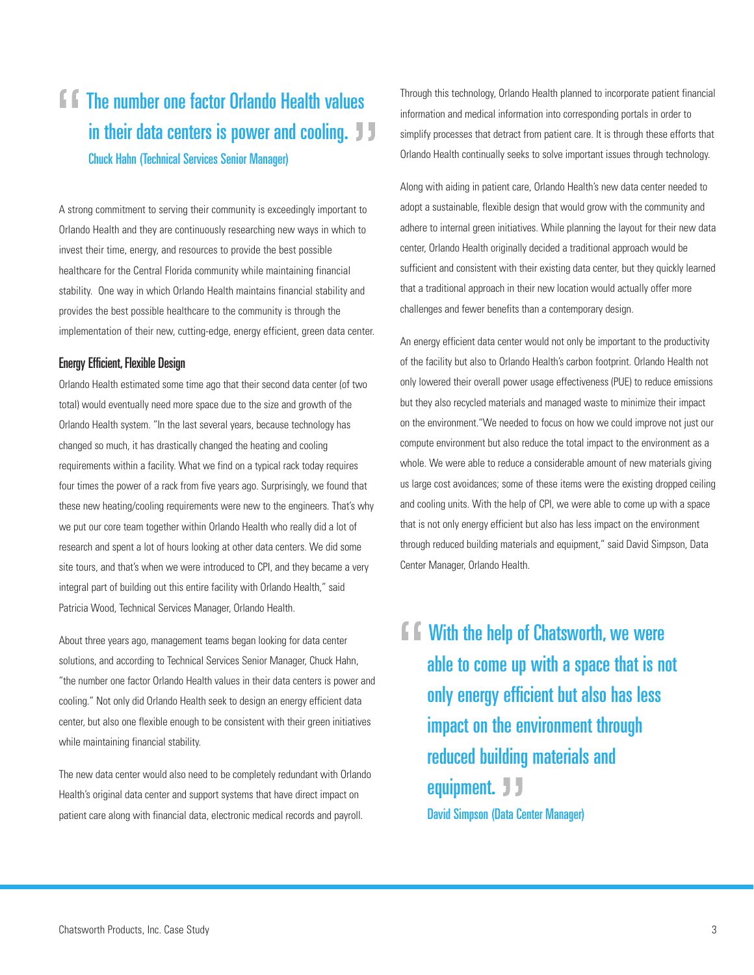### **The number one factor Orlando Health values** in their data centers is power and cooling. Chuck Hahn (Technical Services Senior Manager)

A strong commitment to serving their community is exceedingly important to Orlando Health and they are continuously researching new ways in which to invest their time, energy, and resources to provide the best possible healthcare for the Central Florida community while maintaining financial stability. One way in which Orlando Health maintains financial stability and provides the best possible healthcare to the community is through the implementation of their new, cutting-edge, energy efficient, green data center.

#### Energy Efficient, Flexible Design

Orlando Health estimated some time ago that their second data center (of two total) would eventually need more space due to the size and growth of the Orlando Health system. "In the last several years, because technology has changed so much, it has drastically changed the heating and cooling requirements within a facility. What we find on a typical rack today requires four times the power of a rack from five years ago. Surprisingly, we found that these new heating/cooling requirements were new to the engineers. That's why we put our core team together within Orlando Health who really did a lot of research and spent a lot of hours looking at other data centers. We did some site tours, and that's when we were introduced to CPI, and they became a very integral part of building out this entire facility with Orlando Health," said Patricia Wood, Technical Services Manager, Orlando Health.

About three years ago, management teams began looking for data center solutions, and according to Technical Services Senior Manager, Chuck Hahn, "the number one factor Orlando Health values in their data centers is power and cooling." Not only did Orlando Health seek to design an energy efficient data center, but also one flexible enough to be consistent with their green initiatives while maintaining financial stability.

The new data center would also need to be completely redundant with Orlando Health's original data center and support systems that have direct impact on patient care along with financial data, electronic medical records and payroll.

Through this technology, Orlando Health planned to incorporate patient financial information and medical information into corresponding portals in order to simplify processes that detract from patient care. It is through these efforts that Orlando Health continually seeks to solve important issues through technology.

Along with aiding in patient care, Orlando Health's new data center needed to adopt a sustainable, flexible design that would grow with the community and adhere to internal green initiatives. While planning the layout for their new data center, Orlando Health originally decided a traditional approach would be sufficient and consistent with their existing data center, but they quickly learned that a traditional approach in their new location would actually offer more challenges and fewer benefits than a contemporary design.

An energy efficient data center would not only be important to the productivity of the facility but also to Orlando Health's carbon footprint. Orlando Health not only lowered their overall power usage effectiveness (PUE) to reduce emissions but they also recycled materials and managed waste to minimize their impact on the environment."We needed to focus on how we could improve not just our compute environment but also reduce the total impact to the environment as a whole. We were able to reduce a considerable amount of new materials giving us large cost avoidances; some of these items were the existing dropped ceiling and cooling units. With the help of CPI, we were able to come up with a space that is not only energy efficient but also has less impact on the environment through reduced building materials and equipment," said David Simpson, Data Center Manager, Orlando Health.

**F. F. With the help of Chatsworth, we were** able to come up with a space that is not only energy efficient but also has less impact on the environment through reduced building materials and equipment. JJ David Simpson (Data Center Manager)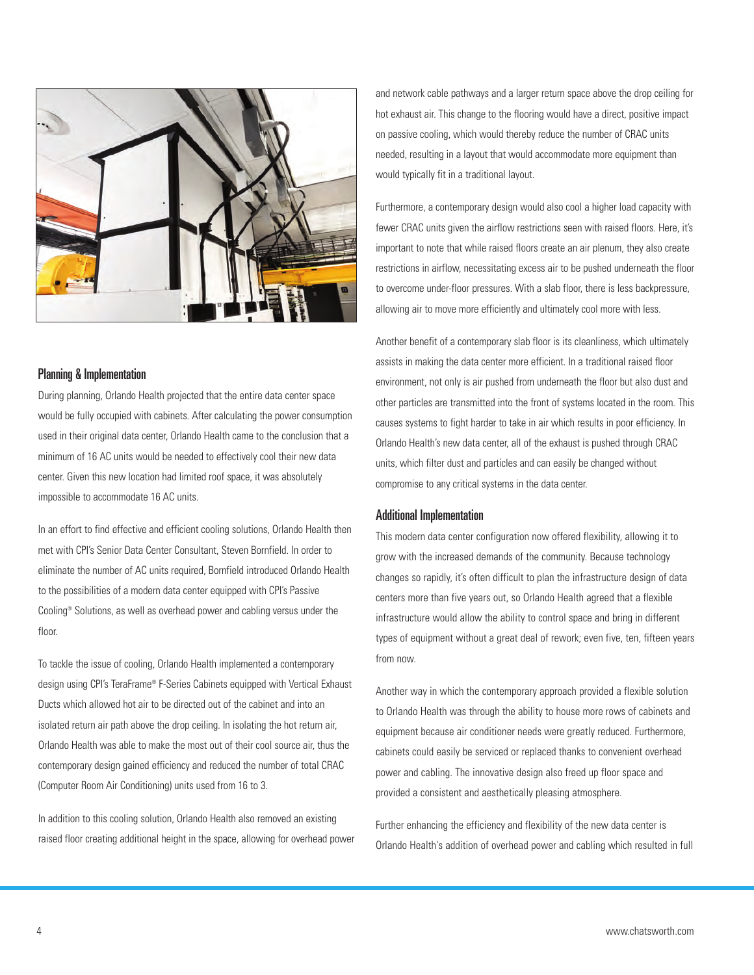

#### Planning & Implementation

During planning, Orlando Health projected that the entire data center space would be fully occupied with cabinets. After calculating the power consumption used in their original data center, Orlando Health came to the conclusion that a minimum of 16 AC units would be needed to effectively cool their new data center. Given this new location had limited roof space, it was absolutely impossible to accommodate 16 AC units.

In an effort to find effective and efficient cooling solutions, Orlando Health then met with CPI's Senior Data Center Consultant, Steven Bornfield. In order to eliminate the number of AC units required, Bornfield introduced Orlando Health to the possibilities of a modern data center equipped with CPI's Passive Cooling® Solutions, as well as overhead power and cabling versus under the floor.

To tackle the issue of cooling, Orlando Health implemented a contemporary design using CPI's TeraFrame® F-Series Cabinets equipped with Vertical Exhaust Ducts which allowed hot air to be directed out of the cabinet and into an isolated return air path above the drop ceiling. In isolating the hot return air, Orlando Health was able to make the most out of their cool source air, thus the contemporary design gained efficiency and reduced the number of total CRAC (Computer Room Air Conditioning) units used from 16 to 3.

In addition to this cooling solution, Orlando Health also removed an existing raised floor creating additional height in the space, allowing for overhead power and network cable pathways and a larger return space above the drop ceiling for hot exhaust air. This change to the flooring would have a direct, positive impact on passive cooling, which would thereby reduce the number of CRAC units needed, resulting in a layout that would accommodate more equipment than would typically fit in a traditional layout.

Furthermore, a contemporary design would also cool a higher load capacity with fewer CRAC units given the airflow restrictions seen with raised floors. Here, it's important to note that while raised floors create an air plenum, they also create restrictions in airflow, necessitating excess air to be pushed underneath the floor to overcome under-floor pressures. With a slab floor, there is less backpressure, allowing air to move more efficiently and ultimately cool more with less.

Another benefit of a contemporary slab floor is its cleanliness, which ultimately assists in making the data center more efficient. In a traditional raised floor environment, not only is air pushed from underneath the floor but also dust and other particles are transmitted into the front of systems located in the room. This causes systems to fight harder to take in air which results in poor efficiency. In Orlando Health's new data center, all of the exhaust is pushed through CRAC units, which filter dust and particles and can easily be changed without compromise to any critical systems in the data center.

#### Additional Implementation

This modern data center configuration now offered flexibility, allowing it to grow with the increased demands of the community. Because technology changes so rapidly, it's often difficult to plan the infrastructure design of data centers more than five years out, so Orlando Health agreed that a flexible infrastructure would allow the ability to control space and bring in different types of equipment without a great deal of rework; even five, ten, fifteen years from now.

Another way in which the contemporary approach provided a flexible solution to Orlando Health was through the ability to house more rows of cabinets and equipment because air conditioner needs were greatly reduced. Furthermore, cabinets could easily be serviced or replaced thanks to convenient overhead power and cabling. The innovative design also freed up floor space and provided a consistent and aesthetically pleasing atmosphere.

Further enhancing the efficiency and flexibility of the new data center is Orlando Health's addition of overhead power and cabling which resulted in full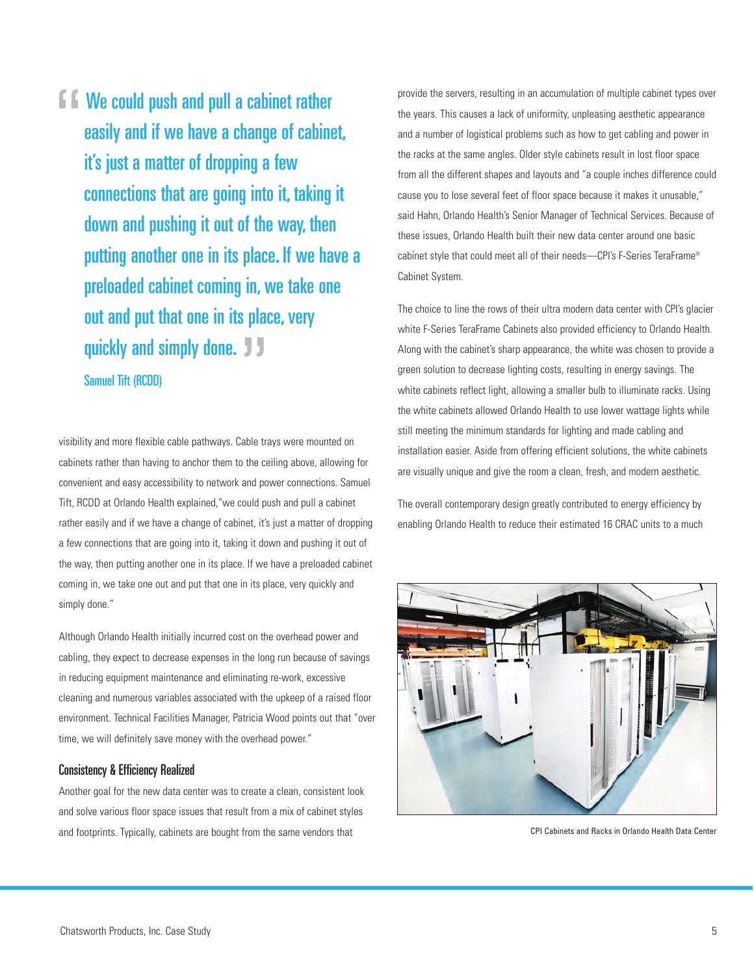**f f** We could push and pull a cabinet rather easily and if we have a change of cabinet, it's just a matter of dropping a few connections that are going into it, taking it down and pushing it out of the way, then putting another one in its place. If we have a preloaded cabinet coming in, we take one out and put that one in its place, very quickly and simply done. **J** 

### Samuel Tift (RCDD)

visibility and more flexible cable pathways. Cable trays were mounted on cabinets rather than having to anchor them to the ceiling above, allowing for convenient and easy accessibility to network and power connections. Samuel Tift, RCDD at Orlando Health explained,"we could push and pull a cabinet rather easily and if we have a change of cabinet, it's just a matter of dropping a few connections that are going into it, taking it down and pushing it out of the way, then putting another one in its place. If we have a preloaded cabinet coming in, we take one out and put that one in its place, very quickly and simply done."

Although Orlando Health initially incurred cost on the overhead power and cabling, they expect to decrease expenses in the long run because of savings in reducing equipment maintenance and eliminating re-work, excessive cleaning and numerous variables associated with the upkeep of a raised floor environment. Technical Facilities Manager, Patricia Wood points out that "over time, we will definitely save money with the overhead power."

#### Consistency & Efficiency Realized

Another goal for the new data center was to create a clean, consistent look and solve various floor space issues that result from a mix of cabinet styles and footprints. Typically, cabinets are bought from the same vendors that

provide the servers, resulting in an accumulation of multiple cabinet types over the years. This causes a lack of uniformity, unpleasing aesthetic appearance and a number of logistical problems such as how to get cabling and power in the racks at the same angles. Older style cabinets result in lost floor space from all the different shapes and layouts and "a couple inches difference could cause you to lose several feet of floor space because it makes it unusable," said Hahn, Orlando Health's Senior Manager of Technical Services. Because of these issues, Orlando Health built their new data center around one basic cabinet style that could meet all of their needs—CPI's F-Series TeraFrame® Cabinet System.

The choice to line the rows of their ultra modern data center with CPI's glacier white F-Series TeraFrame Cabinets also provided efficiency to Orlando Health. Along with the cabinet's sharp appearance, the white was chosen to provide a green solution to decrease lighting costs, resulting in energy savings. The white cabinets reflect light, allowing a smaller bulb to illuminate racks. Using the white cabinets allowed Orlando Health to use lower wattage lights while still meeting the minimum standards for lighting and made cabling and installation easier. Aside from offering efficient solutions, the white cabinets are visually unique and give the room a clean, fresh, and modern aesthetic.

The overall contemporary design greatly contributed to energy efficiency by enabling Orlando Health to reduce their estimated 16 CRAC units to a much



CPI Cabinets and Racks in Orlando Health Data Center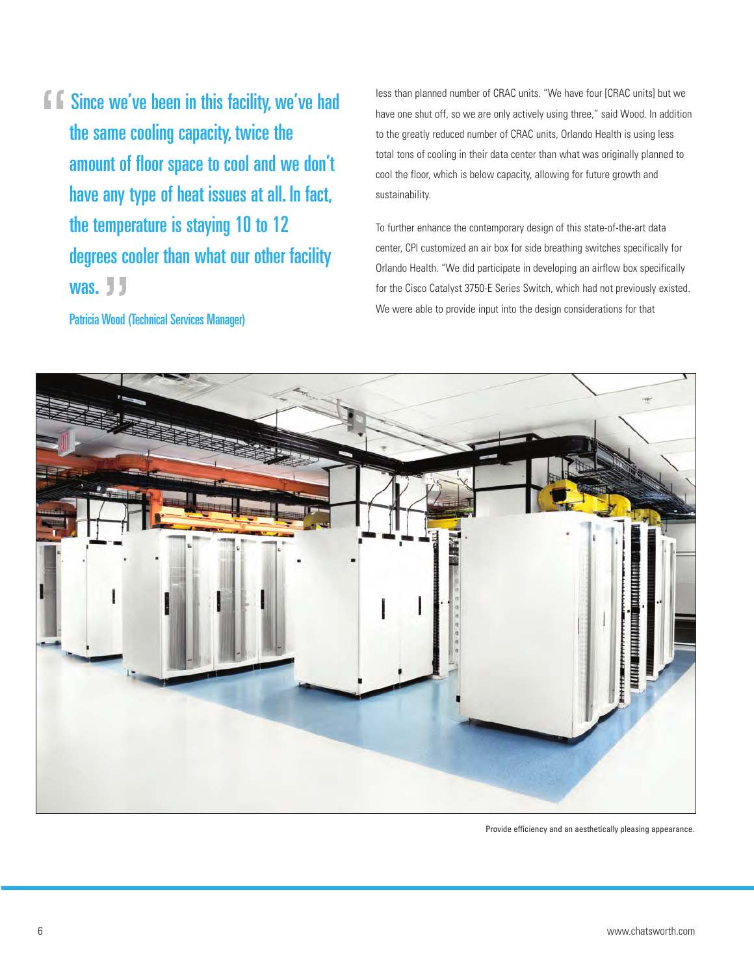**Since we've been in this facility, we've had** the same cooling capacity, twice the amount of floor space to cool and we don't have any type of heat issues at all. In fact, the temperature is staying 10 to 12 degrees cooler than what our other facility was. J J

Patricia Wood (Technical Services Manager)

less than planned number of CRAC units. "We have four [CRAC units] but we have one shut off, so we are only actively using three," said Wood. In addition to the greatly reduced number of CRAC units, Orlando Health is using less total tons of cooling in their data center than what was originally planned to cool the floor, which is below capacity, allowing for future growth and sustainability.

To further enhance the contemporary design of this state-of-the-art data center, CPI customized an air box for side breathing switches specifically for Orlando Health. "We did participate in developing an airflow box specifically for the Cisco Catalyst 3750-E Series Switch, which had not previously existed. We were able to provide input into the design considerations for that



Provide efficiency and an aesthetically pleasing appearance.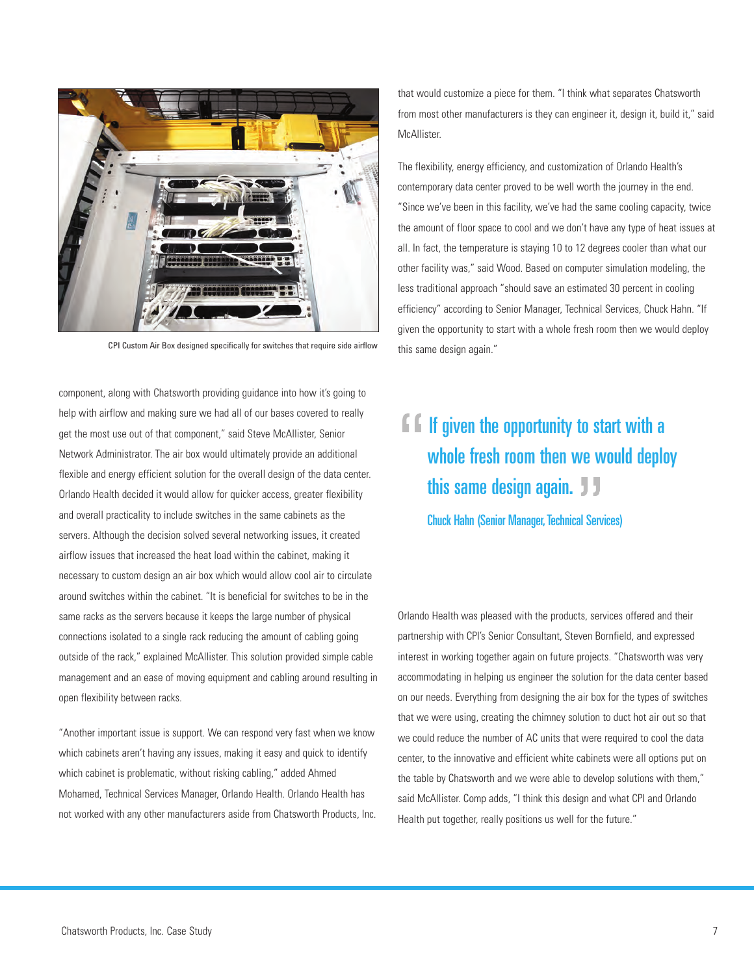

CPI Custom Air Box designed specifically for switches that require side airflow

component, along with Chatsworth providing guidance into how it's going to help with airflow and making sure we had all of our bases covered to really get the most use out of that component," said Steve McAllister, Senior Network Administrator. The air box would ultimately provide an additional flexible and energy efficient solution for the overall design of the data center. Orlando Health decided it would allow for quicker access, greater flexibility and overall practicality to include switches in the same cabinets as the servers. Although the decision solved several networking issues, it created airflow issues that increased the heat load within the cabinet, making it necessary to custom design an air box which would allow cool air to circulate around switches within the cabinet. "It is beneficial for switches to be in the same racks as the servers because it keeps the large number of physical connections isolated to a single rack reducing the amount of cabling going outside of the rack," explained McAllister. This solution provided simple cable management and an ease of moving equipment and cabling around resulting in open flexibility between racks.

"Another important issue is support. We can respond very fast when we know which cabinets aren't having any issues, making it easy and quick to identify which cabinet is problematic, without risking cabling," added Ahmed Mohamed, Technical Services Manager, Orlando Health. Orlando Health has not worked with any other manufacturers aside from Chatsworth Products, Inc. that would customize a piece for them. "I think what separates Chatsworth from most other manufacturers is they can engineer it, design it, build it," said McAllister.

The flexibility, energy efficiency, and customization of Orlando Health's contemporary data center proved to be well worth the journey in the end. "Since we've been in this facility, we've had the same cooling capacity, twice the amount of floor space to cool and we don't have any type of heat issues at all. In fact, the temperature is staying 10 to 12 degrees cooler than what our other facility was," said Wood. Based on computer simulation modeling, the less traditional approach "should save an estimated 30 percent in cooling efficiency" according to Senior Manager, Technical Services, Chuck Hahn. "If given the opportunity to start with a whole fresh room then we would deploy this same design again."

 $\blacksquare$   $\blacksquare$  If given the opportunity to start with a whole fresh room then we would deploy this same design again. JJ Chuck Hahn (Senior Manager, Technical Services)

Orlando Health was pleased with the products, services offered and their partnership with CPI's Senior Consultant, Steven Bornfield, and expressed interest in working together again on future projects. "Chatsworth was very accommodating in helping us engineer the solution for the data center based on our needs. Everything from designing the air box for the types of switches that we were using, creating the chimney solution to duct hot air out so that we could reduce the number of AC units that were required to cool the data center, to the innovative and efficient white cabinets were all options put on the table by Chatsworth and we were able to develop solutions with them," said McAllister. Comp adds, "I think this design and what CPI and Orlando Health put together, really positions us well for the future."